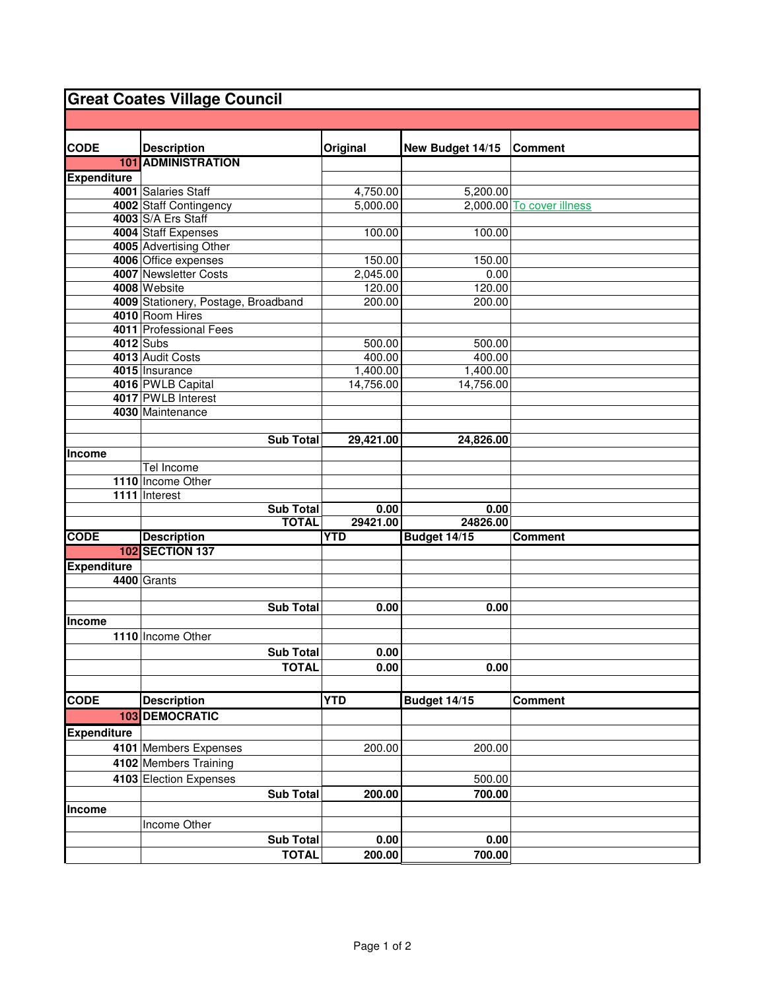## **Great Coates Village Council**

| <b>CODE</b>        | <b>Description</b>                  | Original   | New Budget 14/15 | <b>Comment</b>            |
|--------------------|-------------------------------------|------------|------------------|---------------------------|
|                    | <b>101 ADMINISTRATION</b>           |            |                  |                           |
| <b>Expenditure</b> |                                     |            |                  |                           |
|                    | 4001 Salaries Staff                 | 4,750.00   | 5,200.00         |                           |
|                    | 4002 Staff Contingency              | 5,000.00   |                  | 2,000.00 To cover illness |
|                    | 4003 S/A Ers Staff                  |            |                  |                           |
|                    | 4004 Staff Expenses                 | 100.00     | 100.00           |                           |
|                    | 4005 Advertising Other              |            |                  |                           |
|                    | 4006 Office expenses                | 150.00     | 150.00           |                           |
|                    | 4007 Newsletter Costs               | 2,045.00   | 0.00             |                           |
|                    | 4008 Website                        | 120.00     | 120.00           |                           |
|                    | 4009 Stationery, Postage, Broadband | 200.00     | 200.00           |                           |
|                    | 4010 Room Hires                     |            |                  |                           |
|                    | 4011 Professional Fees              |            |                  |                           |
|                    | 4012 Subs                           | 500.00     | 500.00           |                           |
|                    | 4013 Audit Costs                    | 400.00     | 400.00           |                           |
|                    | 4015 Insurance                      | 1,400.00   | 1,400.00         |                           |
|                    | 4016 PWLB Capital                   | 14,756.00  | 14,756.00        |                           |
|                    | 4017 PWLB Interest                  |            |                  |                           |
|                    | 4030 Maintenance                    |            |                  |                           |
|                    |                                     |            |                  |                           |
|                    | <b>Sub Total</b>                    | 29,421.00  | 24,826.00        |                           |
| Income             |                                     |            |                  |                           |
|                    | Tel Income                          |            |                  |                           |
|                    | 1110 Income Other                   |            |                  |                           |
|                    | 1111 Interest                       |            |                  |                           |
|                    | Sub Total                           | 0.00       | 0.00             |                           |
|                    | <b>TOTAL</b>                        | 29421.00   | 24826.00         |                           |
| <b>CODE</b>        | <b>Description</b>                  | <b>YTD</b> | Budget 14/15     | <b>Comment</b>            |
|                    | <b>102 SECTION 137</b>              |            |                  |                           |
| <b>Expenditure</b> |                                     |            |                  |                           |
|                    | 4400 Grants                         |            |                  |                           |
|                    |                                     |            |                  |                           |
|                    | <b>Sub Total</b>                    | 0.00       | 0.00             |                           |
| Income             |                                     |            |                  |                           |
|                    | 1110 Income Other                   |            |                  |                           |
|                    | <b>Sub Total</b>                    | 0.00       |                  |                           |
|                    | <b>TOTAL</b>                        | 0.00       | 0.00             |                           |
|                    |                                     |            |                  |                           |
| <b>CODE</b>        | <b>Description</b>                  | <b>YTD</b> | Budget 14/15     | <b>Comment</b>            |
|                    | <b>103 DEMOCRATIC</b>               |            |                  |                           |
| <b>Expenditure</b> |                                     |            |                  |                           |
|                    | 4101 Members Expenses               | 200.00     | 200.00           |                           |
|                    | 4102 Members Training               |            |                  |                           |
|                    |                                     |            |                  |                           |
|                    | 4103 Election Expenses              |            | 500.00           |                           |
|                    | <b>Sub Total</b>                    | 200.00     | 700.00           |                           |
| <b>Income</b>      |                                     |            |                  |                           |
|                    | Income Other                        |            |                  |                           |
|                    | <b>Sub Total</b>                    | 0.00       | 0.00             |                           |
|                    | <b>TOTAL</b>                        | 200.00     | 700.00           |                           |
|                    |                                     |            |                  |                           |